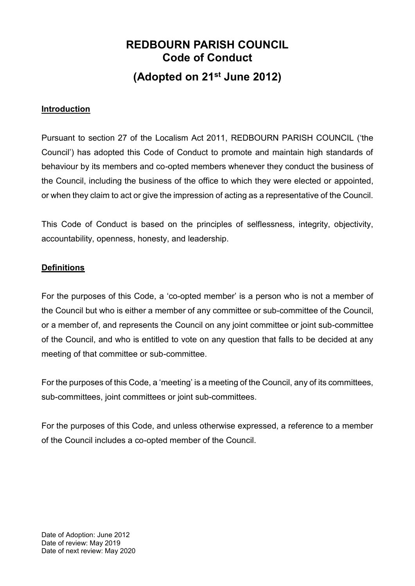# **REDBOURN PARISH COUNCIL Code of Conduct (Adopted on 21st June 2012)**

#### **Introduction**

Pursuant to section 27 of the Localism Act 2011, REDBOURN PARISH COUNCIL ('the Council') has adopted this Code of Conduct to promote and maintain high standards of behaviour by its members and co-opted members whenever they conduct the business of the Council, including the business of the office to which they were elected or appointed, or when they claim to act or give the impression of acting as a representative of the Council.

This Code of Conduct is based on the principles of selflessness, integrity, objectivity, accountability, openness, honesty, and leadership.

#### **Definitions**

For the purposes of this Code, a 'co-opted member' is a person who is not a member of the Council but who is either a member of any committee or sub-committee of the Council, or a member of, and represents the Council on any joint committee or joint sub-committee of the Council, and who is entitled to vote on any question that falls to be decided at any meeting of that committee or sub-committee.

For the purposes of this Code, a 'meeting' is a meeting of the Council, any of its committees, sub-committees, joint committees or joint sub-committees.

For the purposes of this Code, and unless otherwise expressed, a reference to a member of the Council includes a co-opted member of the Council.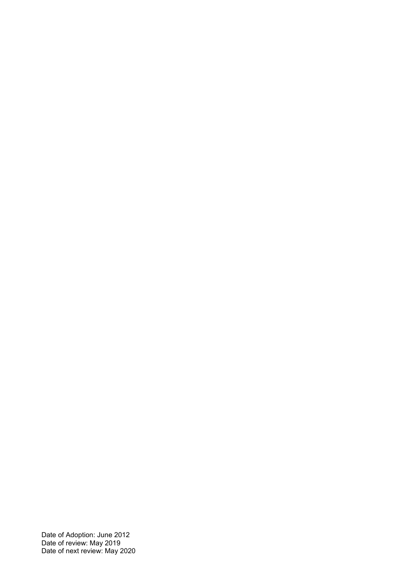Date of Adoption: June 2012 Date of review: May 2019 Date of next review: May 2020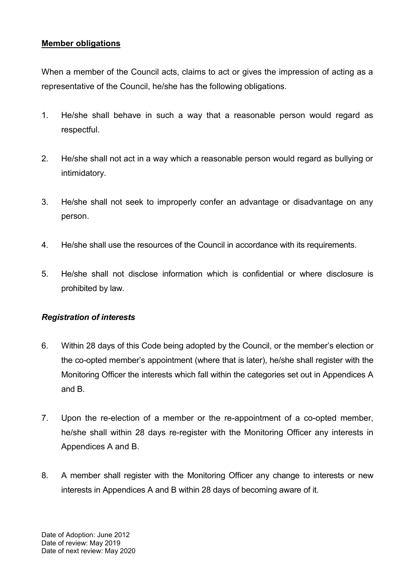### **Member obligations**

When a member of the Council acts, claims to act or gives the impression of acting as a representative of the Council, he/she has the following obligations.

- 1. He/she shall behave in such a way that a reasonable person would regard as respectful.
- 2. He/she shall not act in a way which a reasonable person would regard as bullying or intimidatory.
- 3. He/she shall not seek to improperly confer an advantage or disadvantage on any person.
- 4. He/she shall use the resources of the Council in accordance with its requirements.
- 5. He/she shall not disclose information which is confidential or where disclosure is prohibited by law.

#### *Registration of interests*

- 6. Within 28 days of this Code being adopted by the Council, or the member's election or the co-opted member's appointment (where that is later), he/she shall register with the Monitoring Officer the interests which fall within the categories set out in Appendices A and B.
- 7. Upon the re-election of a member or the re-appointment of a co-opted member, he/she shall within 28 days re-register with the Monitoring Officer any interests in Appendices A and B.
- 8. A member shall register with the Monitoring Officer any change to interests or new interests in Appendices A and B within 28 days of becoming aware of it.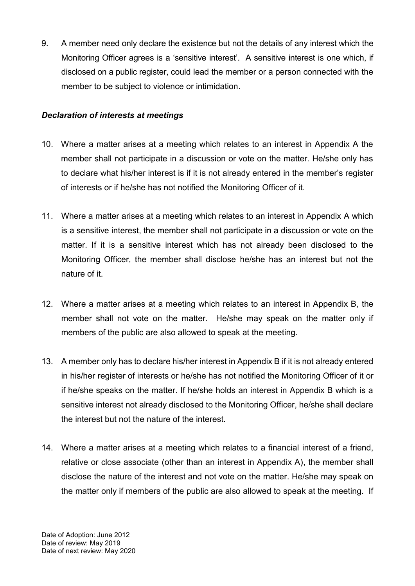9. A member need only declare the existence but not the details of any interest which the Monitoring Officer agrees is a 'sensitive interest'. A sensitive interest is one which, if disclosed on a public register, could lead the member or a person connected with the member to be subject to violence or intimidation.

## *Declaration of interests at meetings*

- 10. Where a matter arises at a meeting which relates to an interest in Appendix A the member shall not participate in a discussion or vote on the matter. He/she only has to declare what his/her interest is if it is not already entered in the member's register of interests or if he/she has not notified the Monitoring Officer of it.
- 11. Where a matter arises at a meeting which relates to an interest in Appendix A which is a sensitive interest, the member shall not participate in a discussion or vote on the matter. If it is a sensitive interest which has not already been disclosed to the Monitoring Officer, the member shall disclose he/she has an interest but not the nature of it.
- 12. Where a matter arises at a meeting which relates to an interest in Appendix B, the member shall not vote on the matter. He/she may speak on the matter only if members of the public are also allowed to speak at the meeting.
- 13. A member only has to declare his/her interest in Appendix B if it is not already entered in his/her register of interests or he/she has not notified the Monitoring Officer of it or if he/she speaks on the matter. If he/she holds an interest in Appendix B which is a sensitive interest not already disclosed to the Monitoring Officer, he/she shall declare the interest but not the nature of the interest.
- 14. Where a matter arises at a meeting which relates to a financial interest of a friend, relative or close associate (other than an interest in Appendix A), the member shall disclose the nature of the interest and not vote on the matter. He/she may speak on the matter only if members of the public are also allowed to speak at the meeting. If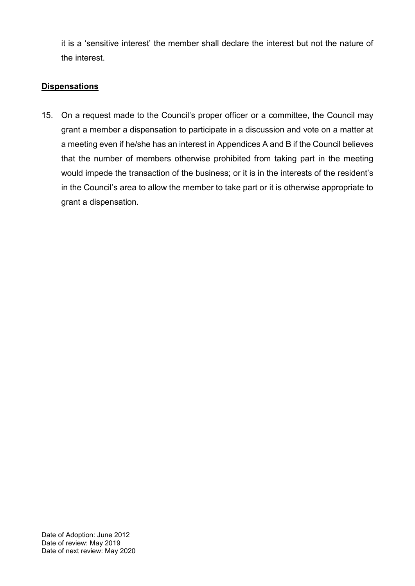it is a 'sensitive interest' the member shall declare the interest but not the nature of the interest.

## **Dispensations**

15. On a request made to the Council's proper officer or a committee, the Council may grant a member a dispensation to participate in a discussion and vote on a matter at a meeting even if he/she has an interest in Appendices A and B if the Council believes that the number of members otherwise prohibited from taking part in the meeting would impede the transaction of the business; or it is in the interests of the resident's in the Council's area to allow the member to take part or it is otherwise appropriate to grant a dispensation.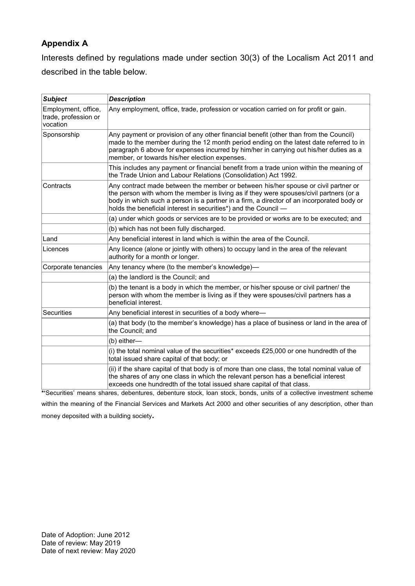# **Appendix A**

Interests defined by regulations made under section 30(3) of the Localism Act 2011 and described in the table below.

| <b>Subject</b>                                          | <b>Description</b>                                                                                                                                                                                                                                                                                                                           |
|---------------------------------------------------------|----------------------------------------------------------------------------------------------------------------------------------------------------------------------------------------------------------------------------------------------------------------------------------------------------------------------------------------------|
| Employment, office,<br>trade, profession or<br>vocation | Any employment, office, trade, profession or vocation carried on for profit or gain.                                                                                                                                                                                                                                                         |
| Sponsorship                                             | Any payment or provision of any other financial benefit (other than from the Council)<br>made to the member during the 12 month period ending on the latest date referred to in<br>paragraph 6 above for expenses incurred by him/her in carrying out his/her duties as a<br>member, or towards his/her election expenses.                   |
|                                                         | This includes any payment or financial benefit from a trade union within the meaning of<br>the Trade Union and Labour Relations (Consolidation) Act 1992.                                                                                                                                                                                    |
| Contracts                                               | Any contract made between the member or between his/her spouse or civil partner or<br>the person with whom the member is living as if they were spouses/civil partners (or a<br>body in which such a person is a partner in a firm, a director of an incorporated body or<br>holds the beneficial interest in securities*) and the Council - |
|                                                         | (a) under which goods or services are to be provided or works are to be executed; and                                                                                                                                                                                                                                                        |
|                                                         | (b) which has not been fully discharged.                                                                                                                                                                                                                                                                                                     |
| Land                                                    | Any beneficial interest in land which is within the area of the Council.                                                                                                                                                                                                                                                                     |
| Licences                                                | Any licence (alone or jointly with others) to occupy land in the area of the relevant<br>authority for a month or longer.                                                                                                                                                                                                                    |
| Corporate tenancies                                     | Any tenancy where (to the member's knowledge)-                                                                                                                                                                                                                                                                                               |
|                                                         | (a) the landlord is the Council; and                                                                                                                                                                                                                                                                                                         |
|                                                         | (b) the tenant is a body in which the member, or his/her spouse or civil partner/ the<br>person with whom the member is living as if they were spouses/civil partners has a<br>beneficial interest.                                                                                                                                          |
| <b>Securities</b>                                       | Any beneficial interest in securities of a body where-                                                                                                                                                                                                                                                                                       |
|                                                         | (a) that body (to the member's knowledge) has a place of business or land in the area of<br>the Council; and                                                                                                                                                                                                                                 |
|                                                         | (b) either-                                                                                                                                                                                                                                                                                                                                  |
|                                                         | (i) the total nominal value of the securities* exceeds £25,000 or one hundredth of the<br>total issued share capital of that body; or                                                                                                                                                                                                        |
|                                                         | (ii) if the share capital of that body is of more than one class, the total nominal value of<br>the shares of any one class in which the relevant person has a beneficial interest<br>exceeds one hundredth of the total issued share capital of that class.<br>.                                                                            |

**\*'**Securities' means shares, debentures, debenture stock, loan stock, bonds, units of a collective investment scheme within the meaning of the Financial Services and Markets Act 2000 and other securities of any description, other than money deposited with a building society**.**